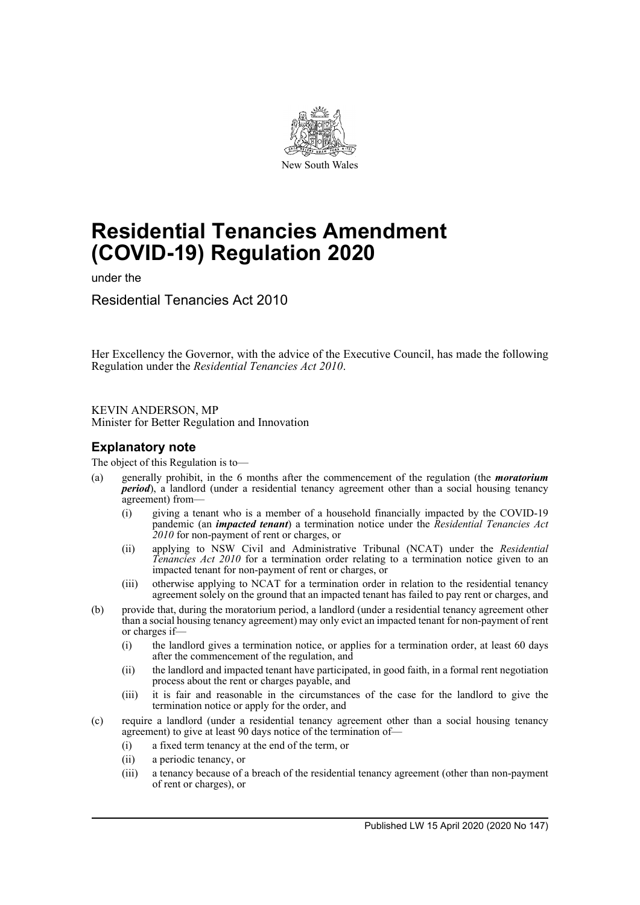

# **Residential Tenancies Amendment (COVID-19) Regulation 2020**

under the

Residential Tenancies Act 2010

Her Excellency the Governor, with the advice of the Executive Council, has made the following Regulation under the *Residential Tenancies Act 2010*.

KEVIN ANDERSON, MP Minister for Better Regulation and Innovation

# **Explanatory note**

The object of this Regulation is to—

- (a) generally prohibit, in the 6 months after the commencement of the regulation (the *moratorium period*), a landlord (under a residential tenancy agreement other than a social housing tenancy agreement) from—
	- (i) giving a tenant who is a member of a household financially impacted by the COVID-19 pandemic (an *impacted tenant*) a termination notice under the *Residential Tenancies Act 2010* for non-payment of rent or charges, or
	- (ii) applying to NSW Civil and Administrative Tribunal (NCAT) under the *Residential Tenancies Act 2010* for a termination order relating to a termination notice given to an impacted tenant for non-payment of rent or charges, or
	- (iii) otherwise applying to NCAT for a termination order in relation to the residential tenancy agreement solely on the ground that an impacted tenant has failed to pay rent or charges, and
- (b) provide that, during the moratorium period, a landlord (under a residential tenancy agreement other than a social housing tenancy agreement) may only evict an impacted tenant for non-payment of rent or charges if—
	- (i) the landlord gives a termination notice, or applies for a termination order, at least 60 days after the commencement of the regulation, and
	- (ii) the landlord and impacted tenant have participated, in good faith, in a formal rent negotiation process about the rent or charges payable, and
	- (iii) it is fair and reasonable in the circumstances of the case for the landlord to give the termination notice or apply for the order, and
- (c) require a landlord (under a residential tenancy agreement other than a social housing tenancy agreement) to give at least 90 days notice of the termination of—
	- (i) a fixed term tenancy at the end of the term, or
	- (ii) a periodic tenancy, or
	- (iii) a tenancy because of a breach of the residential tenancy agreement (other than non-payment of rent or charges), or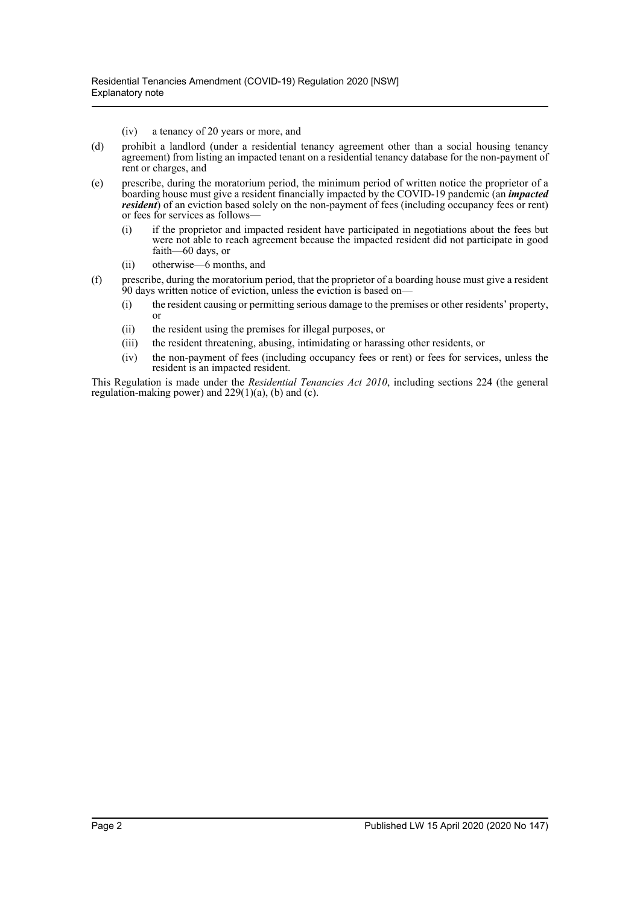(iv) a tenancy of 20 years or more, and

- (d) prohibit a landlord (under a residential tenancy agreement other than a social housing tenancy agreement) from listing an impacted tenant on a residential tenancy database for the non-payment of rent or charges, and
- (e) prescribe, during the moratorium period, the minimum period of written notice the proprietor of a boarding house must give a resident financially impacted by the COVID-19 pandemic (an *impacted resident*) of an eviction based solely on the non-payment of fees (including occupancy fees or rent) or fees for services as follows—
	- (i) if the proprietor and impacted resident have participated in negotiations about the fees but were not able to reach agreement because the impacted resident did not participate in good faith—60 days, or
	- (ii) otherwise—6 months, and
- (f) prescribe, during the moratorium period, that the proprietor of a boarding house must give a resident 90 days written notice of eviction, unless the eviction is based on—
	- (i) the resident causing or permitting serious damage to the premises or other residents' property, or
	- (ii) the resident using the premises for illegal purposes, or
	- (iii) the resident threatening, abusing, intimidating or harassing other residents, or
	- (iv) the non-payment of fees (including occupancy fees or rent) or fees for services, unless the resident is an impacted resident.

This Regulation is made under the *Residential Tenancies Act 2010*, including sections 224 (the general regulation-making power) and 229(1)(a), (b) and (c).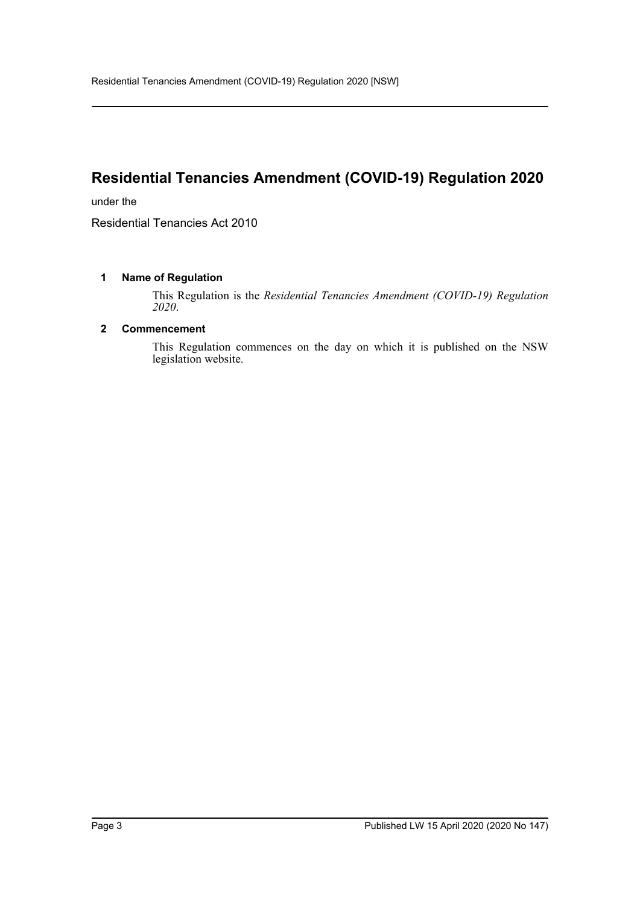# **Residential Tenancies Amendment (COVID-19) Regulation 2020**

under the

Residential Tenancies Act 2010

# **1 Name of Regulation**

This Regulation is the *Residential Tenancies Amendment (COVID-19) Regulation 2020*.

### **2 Commencement**

This Regulation commences on the day on which it is published on the NSW legislation website.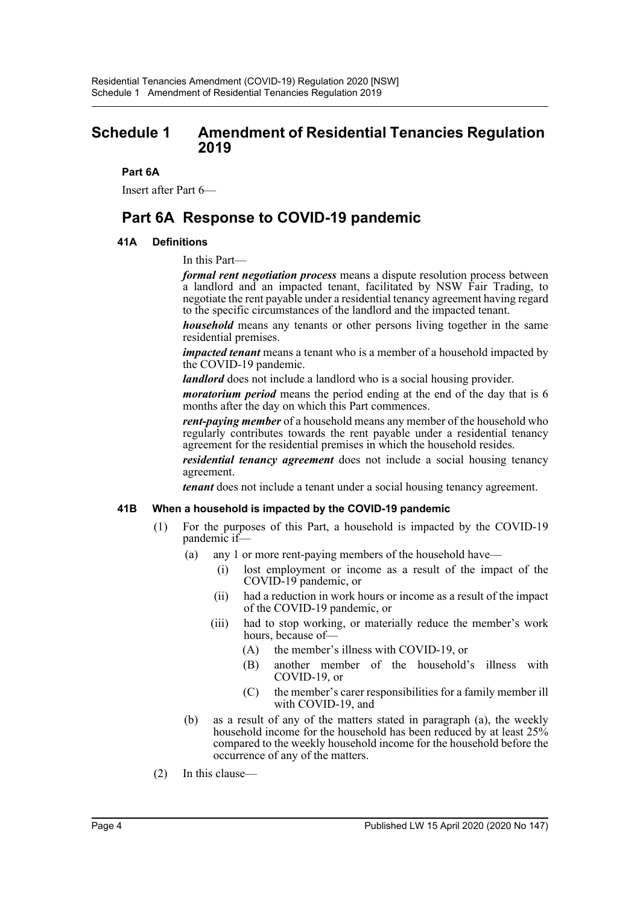# **Schedule 1 Amendment of Residential Tenancies Regulation 2019**

## **Part 6A**

Insert after Part 6—

# **Part 6A Response to COVID-19 pandemic**

# **41A Definitions**

In this Part—

*formal rent negotiation process* means a dispute resolution process between a landlord and an impacted tenant, facilitated by NSW Fair Trading, to negotiate the rent payable under a residential tenancy agreement having regard to the specific circumstances of the landlord and the impacted tenant.

*household* means any tenants or other persons living together in the same residential premises.

*impacted tenant* means a tenant who is a member of a household impacted by the COVID-19 pandemic.

*landlord* does not include a landlord who is a social housing provider.

*moratorium period* means the period ending at the end of the day that is 6 months after the day on which this Part commences.

*rent-paying member* of a household means any member of the household who regularly contributes towards the rent payable under a residential tenancy agreement for the residential premises in which the household resides.

*residential tenancy agreement* does not include a social housing tenancy agreement.

*tenant* does not include a tenant under a social housing tenancy agreement.

#### **41B When a household is impacted by the COVID-19 pandemic**

- (1) For the purposes of this Part, a household is impacted by the COVID-19 pandemic if—
	- (a) any 1 or more rent-paying members of the household have—
		- (i) lost employment or income as a result of the impact of the COVID-19 pandemic, or
		- (ii) had a reduction in work hours or income as a result of the impact of the COVID-19 pandemic, or
		- (iii) had to stop working, or materially reduce the member's work hours, because of—
			- (A) the member's illness with COVID-19, or
			- (B) another member of the household's illness with COVID-19, or
			- (C) the member's carer responsibilities for a family member ill with COVID-19, and
	- (b) as a result of any of the matters stated in paragraph (a), the weekly household income for the household has been reduced by at least 25% compared to the weekly household income for the household before the occurrence of any of the matters.
- (2) In this clause—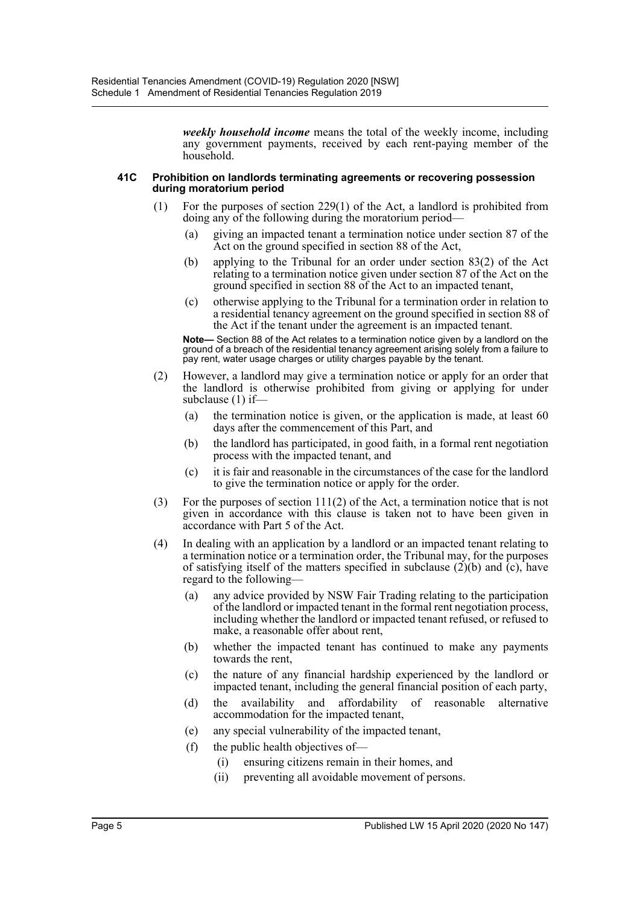*weekly household income* means the total of the weekly income, including any government payments, received by each rent-paying member of the household.

#### **41C Prohibition on landlords terminating agreements or recovering possession during moratorium period**

- (1) For the purposes of section 229(1) of the Act, a landlord is prohibited from doing any of the following during the moratorium period—
	- (a) giving an impacted tenant a termination notice under section 87 of the Act on the ground specified in section 88 of the Act,
	- (b) applying to the Tribunal for an order under section 83(2) of the Act relating to a termination notice given under section 87 of the Act on the ground specified in section 88 of the Act to an impacted tenant,
	- (c) otherwise applying to the Tribunal for a termination order in relation to a residential tenancy agreement on the ground specified in section 88 of the Act if the tenant under the agreement is an impacted tenant.

**Note—** Section 88 of the Act relates to a termination notice given by a landlord on the ground of a breach of the residential tenancy agreement arising solely from a failure to pay rent, water usage charges or utility charges payable by the tenant.

- (2) However, a landlord may give a termination notice or apply for an order that the landlord is otherwise prohibited from giving or applying for under subclause (1) if—
	- (a) the termination notice is given, or the application is made, at least 60 days after the commencement of this Part, and
	- (b) the landlord has participated, in good faith, in a formal rent negotiation process with the impacted tenant, and
	- (c) it is fair and reasonable in the circumstances of the case for the landlord to give the termination notice or apply for the order.
- (3) For the purposes of section 111(2) of the Act, a termination notice that is not given in accordance with this clause is taken not to have been given in accordance with Part 5 of the Act.
- (4) In dealing with an application by a landlord or an impacted tenant relating to a termination notice or a termination order, the Tribunal may, for the purposes of satisfying itself of the matters specified in subclause (2)(b) and (c), have regard to the following—
	- (a) any advice provided by NSW Fair Trading relating to the participation of the landlord or impacted tenant in the formal rent negotiation process, including whether the landlord or impacted tenant refused, or refused to make, a reasonable offer about rent,
	- (b) whether the impacted tenant has continued to make any payments towards the rent,
	- (c) the nature of any financial hardship experienced by the landlord or impacted tenant, including the general financial position of each party,
	- (d) the availability and affordability of reasonable alternative accommodation for the impacted tenant,
	- (e) any special vulnerability of the impacted tenant,
	- (f) the public health objectives of—
		- (i) ensuring citizens remain in their homes, and
		- (ii) preventing all avoidable movement of persons.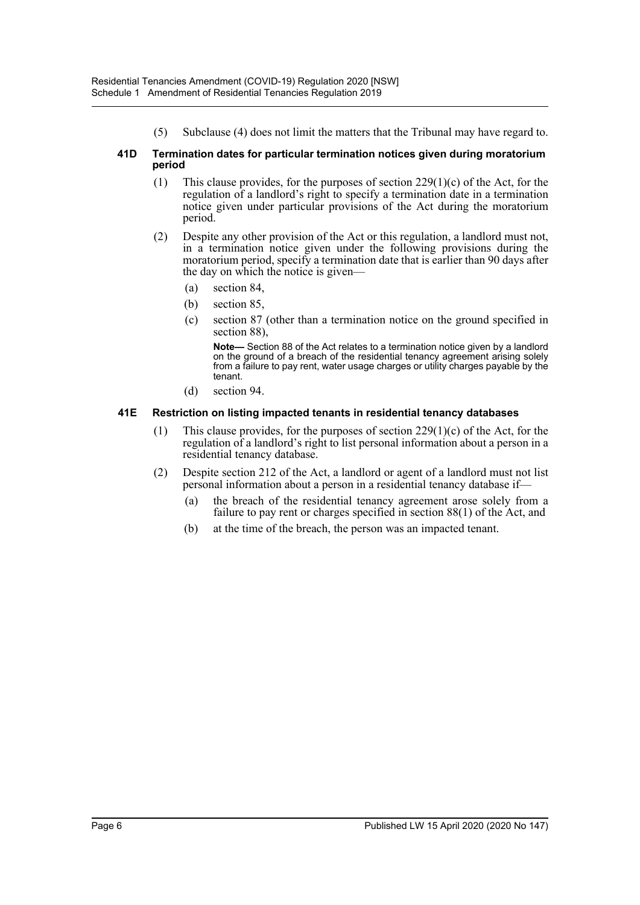(5) Subclause (4) does not limit the matters that the Tribunal may have regard to.

#### **41D Termination dates for particular termination notices given during moratorium period**

- (1) This clause provides, for the purposes of section  $229(1)(c)$  of the Act, for the regulation of a landlord's right to specify a termination date in a termination notice given under particular provisions of the Act during the moratorium period.
- (2) Despite any other provision of the Act or this regulation, a landlord must not, in a termination notice given under the following provisions during the moratorium period, specify a termination date that is earlier than 90 days after the day on which the notice is given—
	- (a) section 84,
	- (b) section 85,
	- (c) section 87 (other than a termination notice on the ground specified in section 88),

**Note—** Section 88 of the Act relates to a termination notice given by a landlord on the ground of a breach of the residential tenancy agreement arising solely from a failure to pay rent, water usage charges or utility charges payable by the tenant.

(d) section 94.

## **41E Restriction on listing impacted tenants in residential tenancy databases**

- (1) This clause provides, for the purposes of section  $229(1)(c)$  of the Act, for the regulation of a landlord's right to list personal information about a person in a residential tenancy database.
- (2) Despite section 212 of the Act, a landlord or agent of a landlord must not list personal information about a person in a residential tenancy database if—
	- (a) the breach of the residential tenancy agreement arose solely from a failure to pay rent or charges specified in section 88(1) of the Act, and
	- (b) at the time of the breach, the person was an impacted tenant.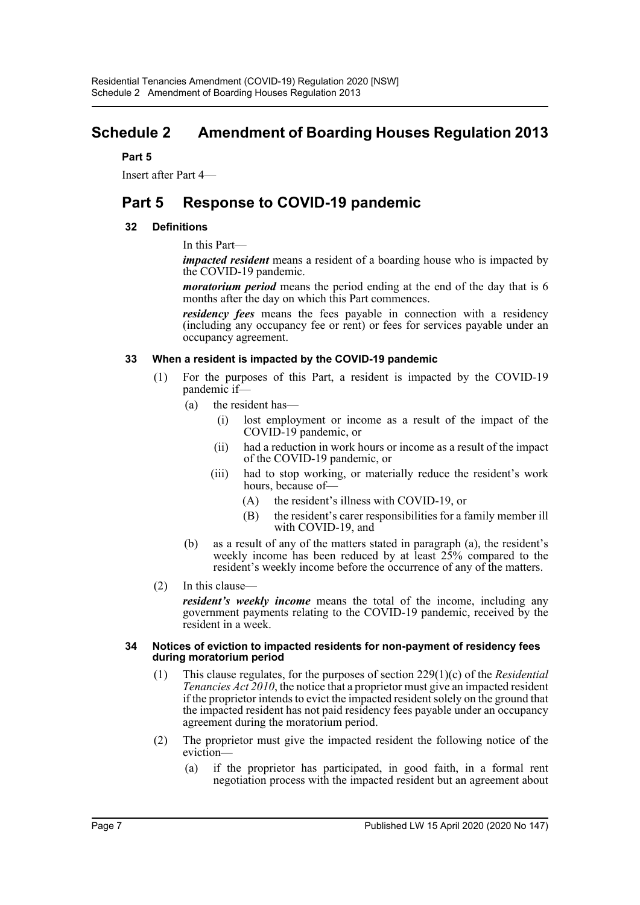# **Schedule 2 Amendment of Boarding Houses Regulation 2013**

# **Part 5**

Insert after Part 4—

# **Part 5 Response to COVID-19 pandemic**

# **32 Definitions**

In this Part—

*impacted resident* means a resident of a boarding house who is impacted by the COVID-19 pandemic.

*moratorium period* means the period ending at the end of the day that is 6 months after the day on which this Part commences.

*residency fees* means the fees payable in connection with a residency (including any occupancy fee or rent) or fees for services payable under an occupancy agreement.

## **33 When a resident is impacted by the COVID-19 pandemic**

- (1) For the purposes of this Part, a resident is impacted by the COVID-19 pandemic if—
	- (a) the resident has—
		- (i) lost employment or income as a result of the impact of the COVID-19 pandemic, or
		- (ii) had a reduction in work hours or income as a result of the impact of the COVID-19 pandemic, or
		- (iii) had to stop working, or materially reduce the resident's work hours, because of-
			- (A) the resident's illness with COVID-19, or
			- (B) the resident's carer responsibilities for a family member ill with COVID-19, and
	- (b) as a result of any of the matters stated in paragraph (a), the resident's weekly income has been reduced by at least 25% compared to the resident's weekly income before the occurrence of any of the matters.
- (2) In this clause—

*resident's weekly income* means the total of the income, including any government payments relating to the COVID-19 pandemic, received by the resident in a week.

#### **34 Notices of eviction to impacted residents for non-payment of residency fees during moratorium period**

- (1) This clause regulates, for the purposes of section 229(1)(c) of the *Residential Tenancies Act 2010*, the notice that a proprietor must give an impacted resident if the proprietor intends to evict the impacted resident solely on the ground that the impacted resident has not paid residency fees payable under an occupancy agreement during the moratorium period.
- (2) The proprietor must give the impacted resident the following notice of the eviction—
	- (a) if the proprietor has participated, in good faith, in a formal rent negotiation process with the impacted resident but an agreement about